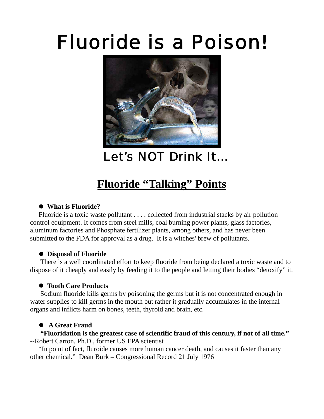# Fluoride is a Poison!



Let's NOT Drink It…

# **Fluoride "Talking" Points**

## z **What is Fluoride?**

 Fluoride is a toxic waste pollutant . . . . collected from industrial stacks by air pollution control equipment. It comes from steel mills, coal burning power plants, glass factories, aluminum factories and Phosphate fertilizer plants, among others, and has never been submitted to the FDA for approval as a drug. It is a witches' brew of pollutants.

### **• Disposal of Fluoride**

 There is a well coordinated effort to keep fluoride from being declared a toxic waste and to dispose of it cheaply and easily by feeding it to the people and letting their bodies "detoxify" it.

### $\bullet$  **Tooth Care Products**

 Sodium fluoride kills germs by poisoning the germs but it is not concentrated enough in water supplies to kill germs in the mouth but rather it gradually accumulates in the internal organs and inflicts harm on bones, teeth, thyroid and brain, etc.

# **•** A Great Fraud

 **"Fluoridation is the greatest case of scientific fraud of this century, if not of all time."** --Robert Carton, Ph.D., former US EPA scientist

 "In point of fact, fluroide causes more human cancer death, and causes it faster than any other chemical." Dean Burk – Congressional Record 21 July 1976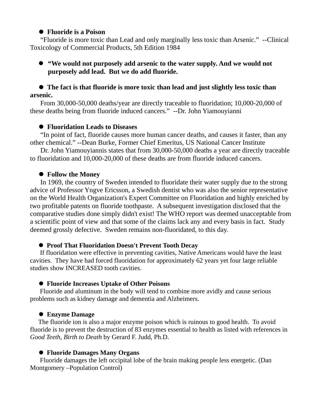#### **• Fluoride is a Poison**

 "Fluoride is more toxic than Lead and only marginally less toxic than Arsenic." --Clinical Toxicology of Commercial Products, 5th Edition 1984

#### z **"We would not purposely add arsenic to the water supply. And we would not purposely add lead. But we do add fluoride.**

#### **• The fact is that fluoride is more toxic than lead and just slightly less toxic than arsenic.**

 From 30,000-50,000 deaths/year are directly traceable to fluoridation; 10,000-20,000 of these deaths being from fluoride induced cancers." --Dr. John Yiamouyianni

#### **• Fluoridation Leads to Diseases**

 "In point of fact, fluoride causes more human cancer deaths, and causes it faster, than any other chemical." --Dean Burke, Former Chief Emeritus, US National Cancer Institute

 Dr. John Yiamouyiannis states that from 30,000-50,000 deaths a year are directly traceable to fluoridation and 10,000-20,000 of these deaths are from fluoride induced cancers.

#### **• Follow the Money**

 In 1969, the country of Sweden intended to fluoridate their water supply due to the strong advice of Professor Yngve Ericsson, a Swedish dentist who was also the senior representative on the World Health Organization's Expert Committee on Fluoridation and highly enriched by two profitable patents on fluoride toothpaste. A subsequent investigation disclosed that the comparative studies done simply didn't exist! The WHO report was deemed unacceptable from a scientific point of view and that some of the claims lack any and every basis in fact. Study deemed grossly defective. Sweden remains non-fluoridated, to this day.

#### **• Proof That Fluoridation Doesn't Prevent Tooth Decay**

 If fluoridation were effective in preventing cavities, Native Americans would have the least cavities. They have had forced fluoridation for approximately 62 years yet four large reliable studies show INCREASED tooth cavities.

#### **• Fluoride Increases Uptake of Other Poisons**

 Fluoride and aluminum in the body will tend to combine more avidly and cause serious problems such as kidney damage and dementia and Alzheimers.

#### z **Enzyme Damage**

 The fluoride ion is also a major enzyme poison which is ruinous to good health. To avoid fluoride is to prevent the destruction of 83 enzymes essential to health as listed with references in *Good Teeth, Birth to Death* by Gerard F. Judd, Ph.D.

#### **• Fluoride Damages Many Organs**

 Fluoride damages the left occipital lobe of the brain making people less energetic. (Dan Montgomery –Population Control)